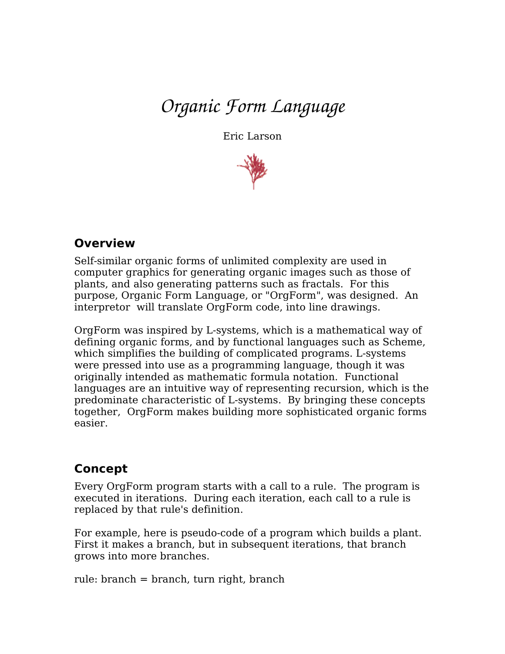# *Organic Form Language*

Eric Larson



#### **Overview**

Self-similar organic forms of unlimited complexity are used in computer graphics for generating organic images such as those of plants, and also generating patterns such as fractals. For this purpose, Organic Form Language, or "OrgForm", was designed. An interpretor will translate OrgForm code, into line drawings.

OrgForm was inspired by L-systems, which is a mathematical way of defining organic forms, and by functional languages such as Scheme, which simplifies the building of complicated programs. L-systems were pressed into use as a programming language, though it was originally intended as mathematic formula notation. Functional languages are an intuitive way of representing recursion, which is the predominate characteristic of L-systems. By bringing these concepts together, OrgForm makes building more sophisticated organic forms easier.

#### **Concept**

Every OrgForm program starts with a call to a rule. The program is executed in iterations. During each iteration, each call to a rule is replaced by that rule's definition.

For example, here is pseudo-code of a program which builds a plant. First it makes a branch, but in subsequent iterations, that branch grows into more branches.

rule: branch = branch, turn right, branch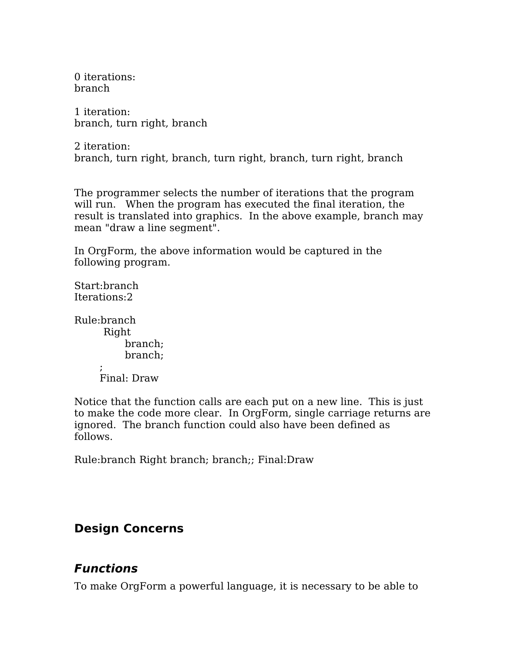0 iterations: branch

1 iteration: branch, turn right, branch

2 iteration: branch, turn right, branch, turn right, branch, turn right, branch

The programmer selects the number of iterations that the program will run. When the program has executed the final iteration, the result is translated into graphics. In the above example, branch may mean "draw a line segment".

In OrgForm, the above information would be captured in the following program.

Start:branch Iterations:2

Rule:branch Right branch; branch;  $\ddot{i}$ 

Final: Draw

Notice that the function calls are each put on a new line. This is just to make the code more clear. In OrgForm, single carriage returns are ignored. The branch function could also have been defined as follows.

Rule:branch Right branch; branch;; Final:Draw

# **Design Concerns**

# **Functions**

To make OrgForm a powerful language, it is necessary to be able to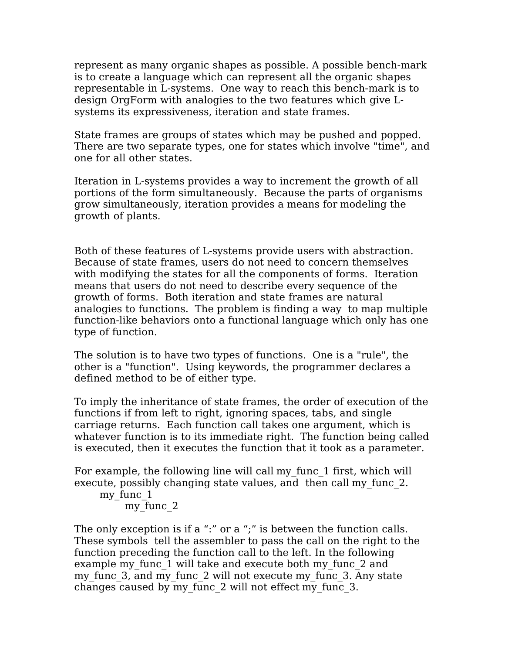represent as many organic shapes as possible. A possible bench-mark is to create a language which can represent all the organic shapes representable in L-systems. One way to reach this bench-mark is to design OrgForm with analogies to the two features which give Lsystems its expressiveness, iteration and state frames.

State frames are groups of states which may be pushed and popped. There are two separate types, one for states which involve "time", and one for all other states.

Iteration in L-systems provides a way to increment the growth of all portions of the form simultaneously. Because the parts of organisms grow simultaneously, iteration provides a means for modeling the growth of plants.

Both of these features of L-systems provide users with abstraction. Because of state frames, users do not need to concern themselves with modifying the states for all the components of forms. Iteration means that users do not need to describe every sequence of the growth of forms. Both iteration and state frames are natural analogies to functions. The problem is finding a way to map multiple function-like behaviors onto a functional language which only has one type of function.

The solution is to have two types of functions. One is a "rule", the other is a "function". Using keywords, the programmer declares a defined method to be of either type.

To imply the inheritance of state frames, the order of execution of the functions if from left to right, ignoring spaces, tabs, and single carriage returns. Each function call takes one argument, which is whatever function is to its immediate right. The function being called is executed, then it executes the function that it took as a parameter.

For example, the following line will call my\_func\_1 first, which will execute, possibly changing state values, and then call my func 2. my func 1

```
my func 2
```
The only exception is if a ":" or a ";" is between the function calls. These symbols tell the assembler to pass the call on the right to the function preceding the function call to the left. In the following example my func 1 will take and execute both my func 2 and my func 3, and my func 2 will not execute my func 3. Any state changes caused by my\_func\_2 will not effect my\_func\_3.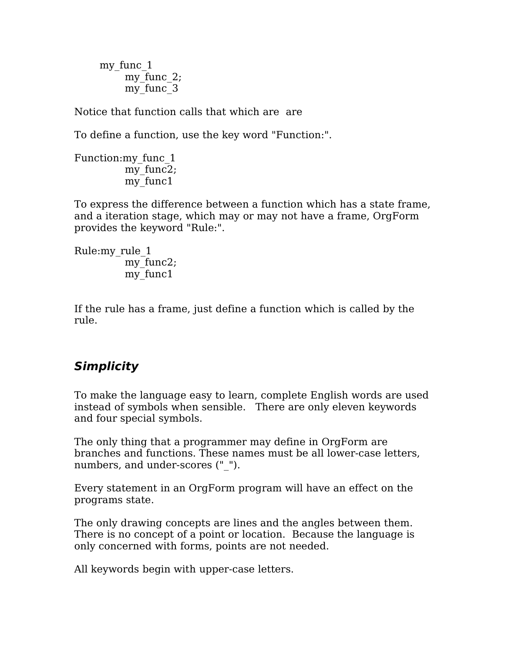my func 1 my func 2; my func 3

Notice that function calls that which are are

To define a function, use the key word "Function:".

Function:my\_func\_1 my func2; my func1

To express the difference between a function which has a state frame, and a iteration stage, which may or may not have a frame, OrgForm provides the keyword "Rule:".

Rule:my\_rule\_1 my func2; my func1

If the rule has a frame, just define a function which is called by the rule.

# **Simplicity**

To make the language easy to learn, complete English words are used instead of symbols when sensible. There are only eleven keywords and four special symbols.

The only thing that a programmer may define in OrgForm are branches and functions. These names must be all lower-case letters, numbers, and under-scores (" ").

Every statement in an OrgForm program will have an effect on the programs state.

The only drawing concepts are lines and the angles between them. There is no concept of a point or location. Because the language is only concerned with forms, points are not needed.

All keywords begin with upper-case letters.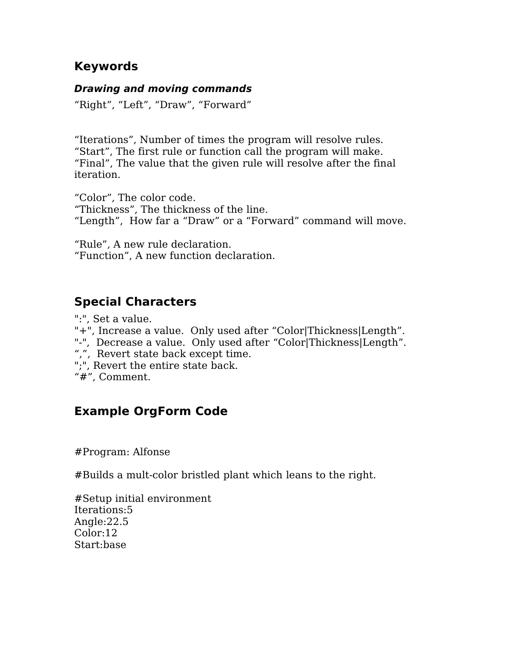#### **Keywords**

#### **Drawing and moving commands**

"Right", "Left", "Draw", "Forward"

"Iterations", Number of times the program will resolve rules. "Start", The first rule or function call the program will make. "Final", The value that the given rule will resolve after the final iteration.

"Color", The color code. "Thickness", The thickness of the line. "Length", How far a "Draw" or a "Forward" command will move.

"Rule", A new rule declaration. "Function", A new function declaration.

# **Special Characters**

":", Set a value. "+", Increase a value. Only used after "Color|Thickness|Length". "-", Decrease a value. Only used after "Color|Thickness|Length". ",", Revert state back except time. ";", Revert the entire state back. "#", Comment.

# **Example OrgForm Code**

#Program: Alfonse

#Builds a mult-color bristled plant which leans to the right.

#Setup initial environment Iterations:5 Angle:22.5 Color:12 Start:base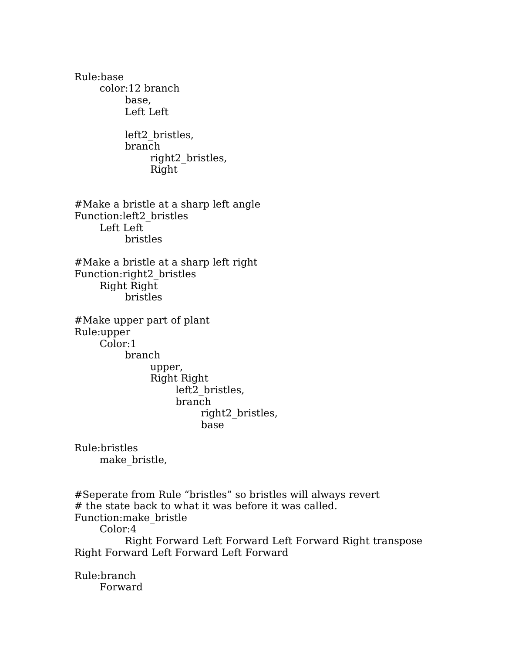Rule:base color:12 branch base, Left Left left2\_bristles, branch right2\_bristles, Right #Make a bristle at a sharp left angle Function:left2\_bristles Left Left bristles #Make a bristle at a sharp left right Function:right2\_bristles Right Right bristles #Make upper part of plant Rule:upper Color:1 branch upper, Right Right left2\_bristles, branch right2\_bristles, base Rule:bristles make\_bristle,

#Seperate from Rule "bristles" so bristles will always revert # the state back to what it was before it was called. Function:make\_bristle Color:4 Right Forward Left Forward Left Forward Right transpose Right Forward Left Forward Left Forward

Rule:branch Forward